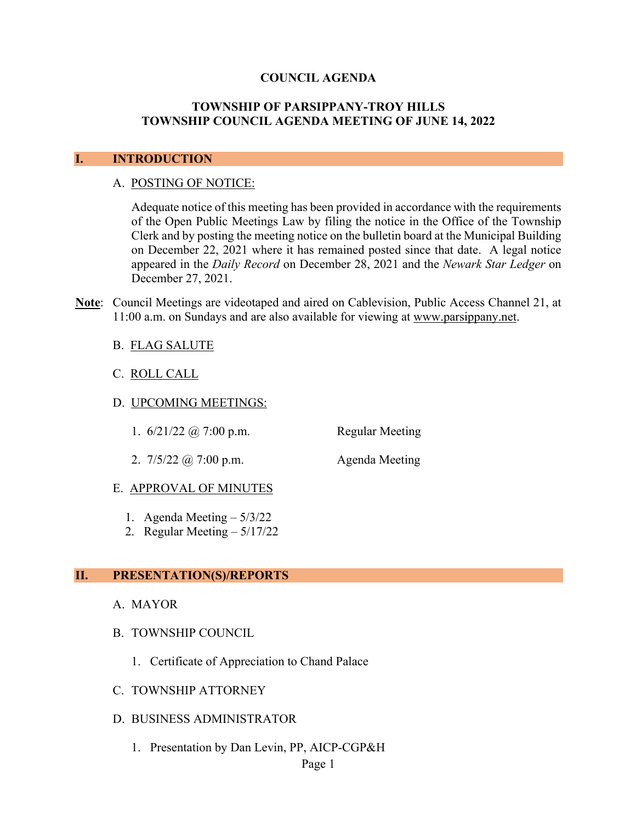### **COUNCIL AGENDA**

### **TOWNSHIP OF PARSIPPANY-TROY HILLS TOWNSHIP COUNCIL AGENDA MEETING OF JUNE 14, 2022**

### **I. INTRODUCTION**

#### A. POSTING OF NOTICE:

Adequate notice of this meeting has been provided in accordance with the requirements of the Open Public Meetings Law by filing the notice in the Office of the Township Clerk and by posting the meeting notice on the bulletin board at the Municipal Building on December 22, 2021 where it has remained posted since that date. A legal notice appeared in the *Daily Record* on December 28, 2021 and the *Newark Star Ledger* on December 27, 2021.

**Note**: Council Meetings are videotaped and aired on Cablevision, Public Access Channel 21, at 11:00 a.m. on Sundays and are also available for viewing at www.parsippany.net.

#### B. FLAG SALUTE

- C. ROLL CALL
- D. UPCOMING MEETINGS:
	- 1. 6/21/22 @ 7:00 p.m. Regular Meeting
	- 2. 7/5/22 @ 7:00 p.m. Agenda Meeting

#### E. APPROVAL OF MINUTES

- 1. Agenda Meeting 5/3/22
- 2. Regular Meeting 5/17/22

#### **II. PRESENTATION(S)/REPORTS**

- A. MAYOR
- B. TOWNSHIP COUNCIL
	- 1. Certificate of Appreciation to Chand Palace
- C. TOWNSHIP ATTORNEY
- D. BUSINESS ADMINISTRATOR
	- 1. Presentation by Dan Levin, PP, AICP-CGP&H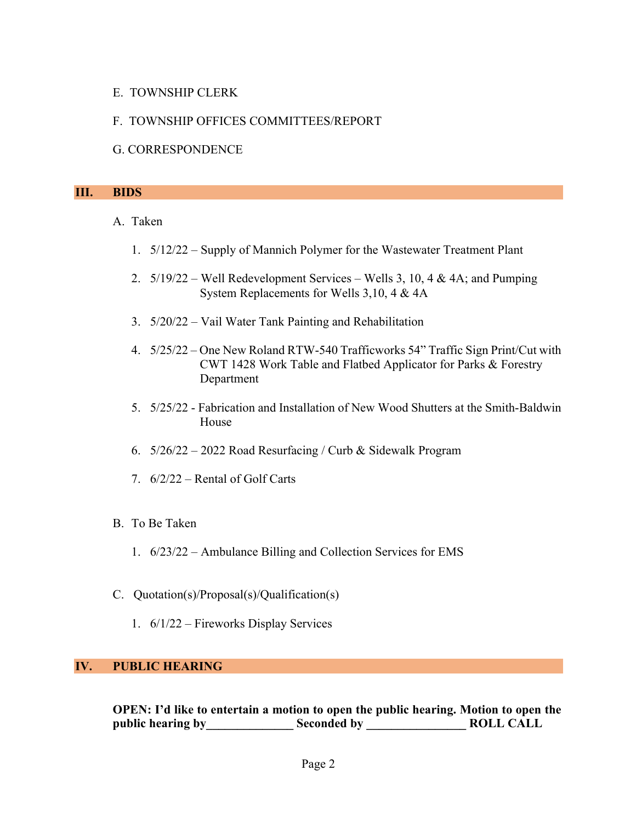## E. TOWNSHIP CLERK

# F. TOWNSHIP OFFICES COMMITTEES/REPORT

## G. CORRESPONDENCE

### **III. BIDS**

### A. Taken

- 1. 5/12/22 Supply of Mannich Polymer for the Wastewater Treatment Plant
- 2. 5/19/22 Well Redevelopment Services Wells 3, 10, 4 & 4A; and Pumping System Replacements for Wells 3,10, 4 & 4A
- 3. 5/20/22 Vail Water Tank Painting and Rehabilitation
- 4. 5/25/22 One New Roland RTW-540 Trafficworks 54" Traffic Sign Print/Cut with CWT 1428 Work Table and Flatbed Applicator for Parks & Forestry Department
- 5. 5/25/22 Fabrication and Installation of New Wood Shutters at the Smith-Baldwin House
- 6. 5/26/22 2022 Road Resurfacing / Curb & Sidewalk Program
- 7. 6/2/22 Rental of Golf Carts
- B. To Be Taken
	- 1. 6/23/22 Ambulance Billing and Collection Services for EMS
- C. Quotation(s)/Proposal(s)/Qualification(s)
	- 1. 6/1/22 Fireworks Display Services

## **IV. PUBLIC HEARING**

**OPEN: I'd like to entertain a motion to open the public hearing. Motion to open the public hearing by\_\_\_\_\_\_\_\_\_\_\_\_\_\_ Seconded by \_\_\_\_\_\_\_\_\_\_\_\_\_\_\_\_ ROLL CALL**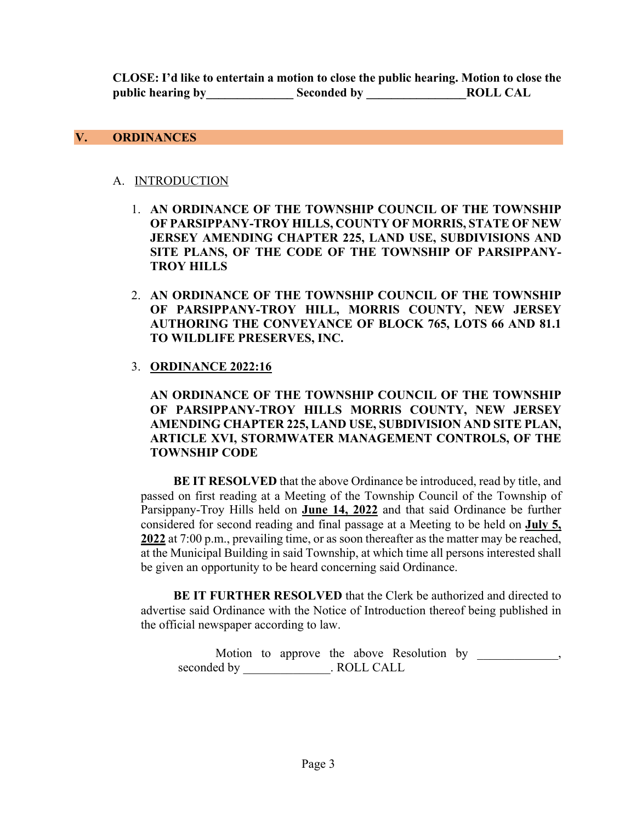**CLOSE: I'd like to entertain a motion to close the public hearing. Motion to close the public hearing by\_\_\_\_\_\_\_\_\_\_\_\_\_\_ Seconded by \_\_\_\_\_\_\_\_\_\_\_\_\_\_\_\_ROLL CAL**

### **V. ORDINANCES**

### A. INTRODUCTION

- 1. **AN ORDINANCE OF THE TOWNSHIP COUNCIL OF THE TOWNSHIP OF PARSIPPANY-TROY HILLS, COUNTY OF MORRIS, STATE OF NEW JERSEY AMENDING CHAPTER 225, LAND USE, SUBDIVISIONS AND SITE PLANS, OF THE CODE OF THE TOWNSHIP OF PARSIPPANY-TROY HILLS**
- 2. **AN ORDINANCE OF THE TOWNSHIP COUNCIL OF THE TOWNSHIP OF PARSIPPANY-TROY HILL, MORRIS COUNTY, NEW JERSEY AUTHORING THE CONVEYANCE OF BLOCK 765, LOTS 66 AND 81.1 TO WILDLIFE PRESERVES, INC.**

## 3. **ORDINANCE 2022:16**

## **AN ORDINANCE OF THE TOWNSHIP COUNCIL OF THE TOWNSHIP OF PARSIPPANY-TROY HILLS MORRIS COUNTY, NEW JERSEY AMENDING CHAPTER 225, LAND USE, SUBDIVISION AND SITE PLAN, ARTICLE XVI, STORMWATER MANAGEMENT CONTROLS, OF THE TOWNSHIP CODE**

**BE IT RESOLVED** that the above Ordinance be introduced, read by title, and passed on first reading at a Meeting of the Township Council of the Township of Parsippany-Troy Hills held on **June 14, 2022** and that said Ordinance be further considered for second reading and final passage at a Meeting to be held on **July 5, 2022** at 7:00 p.m., prevailing time, or as soon thereafter as the matter may be reached, at the Municipal Building in said Township, at which time all persons interested shall be given an opportunity to be heard concerning said Ordinance.

**BE IT FURTHER RESOLVED** that the Clerk be authorized and directed to advertise said Ordinance with the Notice of Introduction thereof being published in the official newspaper according to law.

Motion to approve the above Resolution by  $\,$ , seconded by The ROLL CALL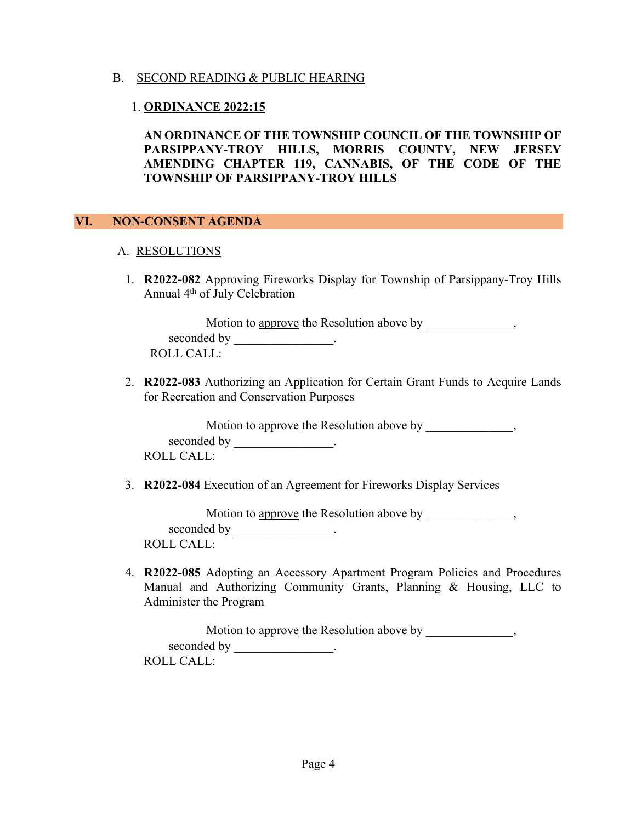### B. SECOND READING & PUBLIC HEARING

### 1. **ORDINANCE 2022:15**

**AN ORDINANCE OF THE TOWNSHIP COUNCIL OF THE TOWNSHIP OF PARSIPPANY-TROY HILLS, MORRIS COUNTY, NEW JERSEY AMENDING CHAPTER 119, CANNABIS, OF THE CODE OF THE TOWNSHIP OF PARSIPPANY-TROY HILLS**

### **VI. NON-CONSENT AGENDA**

### A. RESOLUTIONS

1. **R2022-082** Approving Fireworks Display for Township of Parsippany-Troy Hills Annual 4th of July Celebration

Motion to approve the Resolution above by \_\_\_\_\_\_\_\_\_\_\_\_, seconded by \_\_\_\_\_\_\_\_\_\_\_\_\_\_\_\_\_. ROLL CALL:

2. **R2022-083** Authorizing an Application for Certain Grant Funds to Acquire Lands for Recreation and Conservation Purposes

Motion to <u>approve</u> the Resolution above by  $\qquad \qquad ,$ seconded by \_\_\_\_\_\_\_\_\_\_\_\_\_\_\_\_\_. ROLL CALL:

3. **R2022-084** Execution of an Agreement for Fireworks Display Services

Motion to approve the Resolution above by  $\qquad \qquad ,$ seconded by \_\_\_\_\_\_\_\_\_\_\_\_\_\_\_\_\_\_. ROLL CALL:

4. **R2022-085** Adopting an Accessory Apartment Program Policies and Procedures Manual and Authorizing Community Grants, Planning & Housing, LLC to Administer the Program

Motion to approve the Resolution above by \_\_\_\_\_\_\_\_\_\_\_\_\_, seconded by \_\_\_\_\_\_\_\_\_\_\_\_\_\_\_\_. ROLL CALL: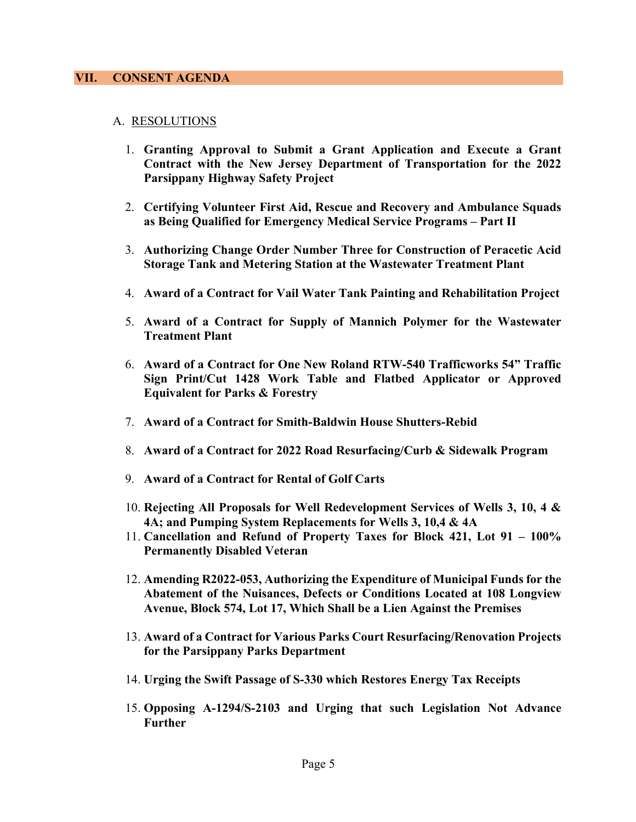#### **VII. CONSENT AGENDA**

### A. RESOLUTIONS

- 1. **Granting Approval to Submit a Grant Application and Execute a Grant Contract with the New Jersey Department of Transportation for the 2022 Parsippany Highway Safety Project**
- 2. **Certifying Volunteer First Aid, Rescue and Recovery and Ambulance Squads as Being Qualified for Emergency Medical Service Programs – Part II**
- 3. **Authorizing Change Order Number Three for Construction of Peracetic Acid Storage Tank and Metering Station at the Wastewater Treatment Plant**
- 4. **Award of a Contract for Vail Water Tank Painting and Rehabilitation Project**
- 5. **Award of a Contract for Supply of Mannich Polymer for the Wastewater Treatment Plant**
- 6. **Award of a Contract for One New Roland RTW-540 Trafficworks 54" Traffic Sign Print/Cut 1428 Work Table and Flatbed Applicator or Approved Equivalent for Parks & Forestry**
- 7. **Award of a Contract for Smith-Baldwin House Shutters-Rebid**
- 8. **Award of a Contract for 2022 Road Resurfacing/Curb & Sidewalk Program**
- 9. **Award of a Contract for Rental of Golf Carts**
- 10. **Rejecting All Proposals for Well Redevelopment Services of Wells 3, 10, 4 & 4A; and Pumping System Replacements for Wells 3, 10,4 & 4A**
- 11. **Cancellation and Refund of Property Taxes for Block 421, Lot 91 – 100% Permanently Disabled Veteran**
- 12. **Amending R2022-053, Authorizing the Expenditure of Municipal Funds for the Abatement of the Nuisances, Defects or Conditions Located at 108 Longview Avenue, Block 574, Lot 17, Which Shall be a Lien Against the Premises**
- 13. **Award of a Contract for Various Parks Court Resurfacing/Renovation Projects for the Parsippany Parks Department**
- 14. **Urging the Swift Passage of S-330 which Restores Energy Tax Receipts**
- 15. **Opposing A-1294/S-2103 and Urging that such Legislation Not Advance Further**